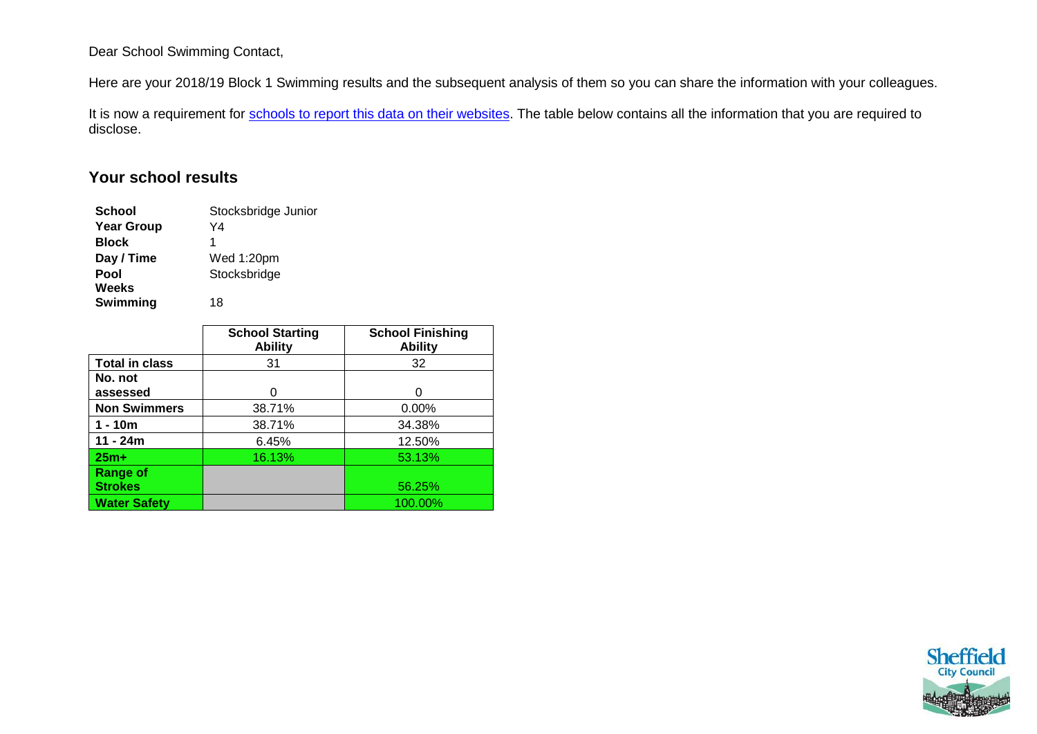## Dear School Swimming Contact,

Here are your 2018/19 Block 1 Swimming results and the subsequent analysis of them so you can share the information with your colleagues.

It is now a requirement for [schools to report this data on their websites.](https://www.gov.uk/guidance/what-maintained-schools-must-publish-online#pe-and-sport-premium-for-primary-schools) The table below contains all the information that you are required to disclose.

## **Your school results**

| <b>School</b>     | Stocksbridge Junior |
|-------------------|---------------------|
| <b>Year Group</b> | Y4                  |
| <b>Block</b>      | 1                   |
| Day / Time        | Wed 1:20pm          |
| Pool              | Stocksbridge        |
| Weeks             |                     |
| Swimming          | 18                  |
|                   |                     |

|                       | <b>School Starting</b><br><b>Ability</b> | <b>School Finishing</b><br><b>Ability</b> |
|-----------------------|------------------------------------------|-------------------------------------------|
| <b>Total in class</b> | 31                                       | 32                                        |
| No. not               |                                          |                                           |
| assessed              | O                                        | O                                         |
| <b>Non Swimmers</b>   | 38.71%                                   | 0.00%                                     |
| $1 - 10m$             | 38.71%                                   | 34.38%                                    |
| $11 - 24m$            | 6.45%                                    | 12.50%                                    |
| $25m+$                | 16.13%                                   | 53.13%                                    |
| <b>Range of</b>       |                                          |                                           |
| <b>Strokes</b>        |                                          | 56.25%                                    |
| <b>Water Safety</b>   |                                          | 100.00%                                   |